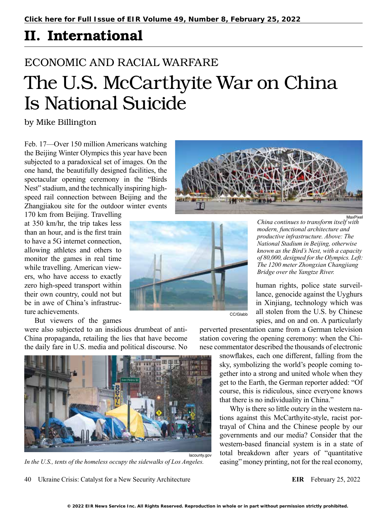## II. International

# ECONOMIC AND RACIAL WARFARE The U.S. McCarthyite War on China Is National Suicide

by Mike Billington

Feb. 17—Over 150 million Americans watching the Beijing Winter Olympics this year have been subjected to a paradoxical set of images. On the one hand, the beautifully designed facilities, the spectacular opening ceremony in the "Birds Nest" stadium, and the technically inspiring highspeed rail connection between Beijing and the Zhangjiakou site for the outdoor winter events

170 km from Beijing. Travelling at 350 km/hr, the trip takes less than an hour, and is the first train to have a 5G internet connection, allowing athletes and others to monitor the games in real time while travelling. American viewers, who have access to exactly zero high-speed transport within their own country, could not but be in awe of China's infrastructure achievements.

But viewers of the games

were also subjected to an insidious drumbeat of anti-China propaganda, retailing the lies that have become the daily fare in U.S. media and political discourse. No



*In the U.S., tents of the homeless occupy the sidewalks of Los Angeles.*

40 Ukraine Crisis: Catalyst for a New Security Architecture **EIR** February 25, 2022



*China continues to transform itself with modern, functional architecture and productive infrastructure. Above: The National Stadium in Beijing, otherwise known as the Bird's Nest, with a capacity of 80,000, designed for the Olympics. Left: The 1200 meter Zhongxian Changjiang Bridge over the Yangtze River.*

human rights, police state surveillance, genocide against the Uyghurs in Xinjiang, technology which was all stolen from the U.S. by Chinese spies, and on and on. A particularly

perverted presentation came from a German television station covering the opening ceremony: when the Chinese commentator described the thousands of electronic

CC/Glabb

snowflakes, each one different, falling from the sky, symbolizing the world's people coming together into a strong and united whole when they get to the Earth, the German reporter added: "Of course, this is ridiculous, since everyone knows that there is no individuality in China."

Why is there so little outcry in the western nations against this McCarthyite-style, racist portrayal of China and the Chinese people by our governments and our media? Consider that the western-based financial system is in a state of total breakdown after years of "quantitative easing" money printing, not for the real economy,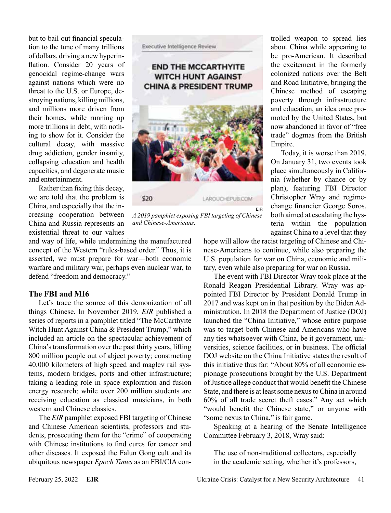but to bail out financial speculation to the tune of many trillions of dollars, driving a new hyperinflation. Consider 20 years of genocidal regime-change wars against nations which were no threat to the U.S. or Europe, destroying nations, killing millions, and millions more driven from their homes, while running up more trillions in debt, with nothing to show for it. Consider the cultural decay, with massive drug addiction, gender insanity, collapsing education and health capacities, and degenerate music and entertainment.

Rather than fixing this decay, we are told that the problem is China, and especially that the increasing cooperation between China and Russia represents an existential threat to our values

and way of life, while undermining the manufactured concept of the Western "rules-based order." Thus, it is asserted, we must prepare for war—both economic warfare and military war, perhaps even nuclear war, to defend "freedom and democracy."

#### **The FBI and MI6**

Let's trace the source of this demonization of all things Chinese. In November 2019, *EIR* published a series of reports in a [pamphlet](https://larouchepub.com/special_report/2019/1123-EndChinaWitchhunt/) titled "The McCarthyite Witch Hunt Against China & President Trump," which included an article on the spectacular achievement of China's transformation over the past thirty years, lifting 800 million people out of abject poverty; constructing 40,000 kilometers of high speed and maglev rail systems, modern bridges, ports and other infrastructure; taking a leading role in space exploration and fusion energy research; while over 200 million students are receiving education as classical musicians, in both western and Chinese classics.

The *EIR* pamphlet exposed FBI targeting of Chinese and Chinese American scientists, professors and students, prosecuting them for the "crime" of cooperating with Chinese institutions to find cures for cancer and other diseases. It exposed the Falun Gong cult and its ubiquitous newspaper *Epoch Times* as an FBI/CIA con-

**Executive Intelligence Review** 

#### **END THE MCCARTHYITE WITCH HUNT AGAINST CHINA & PRESIDENT TRUMP**



*A 2019 pamphlet exposing FBI targeting of Chinese and Chinese-Americans.*

trolled weapon to spread lies about China while appearing to be pro-American. It described the excitement in the formerly colonized nations over the Belt and Road Initiative, bringing the Chinese method of escaping poverty through infrastructure and education, an idea once promoted by the United States, but now abandoned in favor of "free trade" dogmas from the British Empire.

Today, it is worse than 2019. On January 31, two events took place simultaneously in California (whether by chance or by plan), featuring FBI Director Christopher Wray and regimechange financier George Soros, both aimed at escalating the hysteria within the population against China to a level that they

hope will allow the racist targeting of Chinese and Chinese-Americans to continue, while also preparing the U.S. population for war on China, economic and military, even while also preparing for war on Russia.

The event with FBI Director Wray took place at the Ronald Reagan Presidential Library. Wray was appointed FBI Director by President Donald Trump in 2017 and was kept on in that position by the Biden Administration. In 2018 the Department of Justice (DOJ) launched the "China Initiative," whose entire purpose was to target both Chinese and Americans who have any ties whatsoever with China, be it government, universities, science facilities, or in business. The official DOJ website on the China Initiative states the result of this initiative thus far: "About 80% of all economic espionage prosecutions brought by the U.S. Department of Justice allege conduct that would benefit the Chinese State, and there is at least some nexus to China in around 60% of all trade secret theft cases." Any act which "would benefit the Chinese state," or anyone with "some nexus to China," is fair game.

Speaking at a hearing of the Senate Intelligence Committee February 3, 2018, Wray said:

The use of non-traditional collectors, especially in the academic setting, whether it's professors,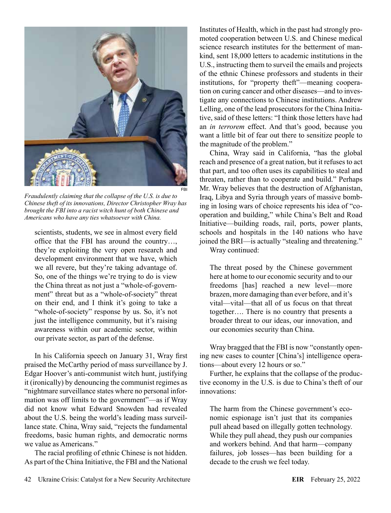

*Fraudulently claiming that the collapse of the U.S. is due to Chinese theft of its innovations, Director Christopher Wray has brought the FBI into a racist witch hunt of both Chinese and Americans who have any ties whatsoever with China.*

scientists, students, we see in almost every field office that the FBI has around the country…, they're exploiting the very open research and development environment that we have, which we all revere, but they're taking advantage of. So, one of the things we're trying to do is view the China threat as not just a "whole-of-government" threat but as a "whole-of-society" threat on their end, and I think it's going to take a "whole-of-society" response by us. So, it's not just the intelligence community, but it's raising awareness within our academic sector, within our private sector, as part of the defense.

In his California speech on January 31, Wray first praised the McCarthy period of mass surveillance by J. Edgar Hoover's anti-communist witch hunt, justifying it (ironically) by denouncing the communist regimes as "nightmare surveillance states where no personal information was off limits to the government"—as if Wray did not know what Edward Snowden had revealed about the U.S. being the world's leading mass surveillance state. China, Wray said, "rejects the fundamental freedoms, basic human rights, and democratic norms we value as Americans."

The racial profiling of ethnic Chinese is not hidden. As part of the China Initiative, the FBI and the National Institutes of Health, which in the past had strongly promoted cooperation between U.S. and Chinese medical science research institutes for the betterment of mankind, sent 18,000 letters to academic institutions in the U.S., instructing them to surveil the emails and projects of the ethnic Chinese professors and students in their institutions, for "property theft"—meaning cooperation on curing cancer and other diseases—and to investigate any connections to Chinese institutions. Andrew Lelling, one of the lead prosecutors for the China Initiative, said of these letters: "I think those letters have had an *in terrorem* effect. And that's good, because you want a little bit of fear out there to sensitize people to the magnitude of the problem."

China, Wray said in California, "has the global reach and presence of a great nation, but it refuses to act that part, and too often uses its capabilities to steal and threaten, rather than to cooperate and build." Perhaps Mr. Wray believes that the destruction of Afghanistan, Iraq, Libya and Syria through years of massive bombing in losing wars of choice represents his idea of "cooperation and building," while China's Belt and Road Initiative—building roads, rail, ports, power plants, schools and hospitals in the 140 nations who have joined the BRI—is actually "stealing and threatening."

Wray continued:

The threat posed by the Chinese government here at home to our economic security and to our freedoms [has] reached a new level—more brazen, more damaging than ever before, and it's vital—vital—that all of us focus on that threat together…. There is no country that presents a broader threat to our ideas, our innovation, and our economies security than China.

Wray bragged that the FBI is now "constantly opening new cases to counter [China's] intelligence operations—about every 12 hours or so."

Further, he explains that the collapse of the productive economy in the U.S. is due to China's theft of our innovations:

The harm from the Chinese government's economic espionage isn't just that its companies pull ahead based on illegally gotten technology. While they pull ahead, they push our companies and workers behind. And that harm—company failures, job losses—has been building for a decade to the crush we feel today.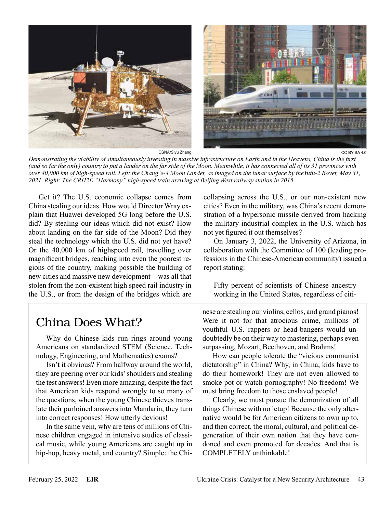

*Demonstrating the viability of simultaneously investing in massive infrastructure on Earth and in the Heavens, China is the first (and so far the only) country to put a lander on the far side of the Moon. Meanwhile, it has connected all of its 31 provinces with over 40,000 km of high-speed rail. Left: the Chang'e-4 Moon Lander, as imaged on the lunar surface by theYutu-2 Rover, May 31, 2021. Right: The CRH2E "Harmony" high-speed train arriving at Beijing West railway station in 2015.*

Get it? The U.S. economic collapse comes from China stealing our ideas. How would Director Wray explain that Huawei developed 5G long before the U.S. did? By stealing our ideas which did not exist? How about landing on the far side of the Moon? Did they steal the technology which the U.S. did not yet have? Or the 40,000 km of highspeed rail, travelling over magnificent bridges, reaching into even the poorest regions of the country, making possible the building of new cities and massive new development—was all that stolen from the non-existent high speed rail industry in the U.S., or from the design of the bridges which are

## China Does What?

Why do Chinese kids run rings around young Americans on standardized STEM (Science, Technology, Engineering, and Mathematics) exams?

Isn't it obvious? From halfway around the world, they are peering over our kids' shoulders and stealing the test answers! Even more amazing, despite the fact that American kids respond wrongly to so many of the questions, when the young Chinese thieves translate their purloined answers into Mandarin, they turn into correct responses! How utterly devious!

In the same vein, why are tens of millions of Chinese children engaged in intensive studies of classical music, while young Americans are caught up in hip-hop, heavy metal, and country? Simple: the Chicollapsing across the U.S., or our non-existent new cities? Even in the military, was China's recent demonstration of a hypersonic missile derived from hacking the military-industrial complex in the U.S. which has not yet figured it out themselves?

On January 3, 2022, the University of Arizona, in collaboration with the Committee of 100 (leading professions in the Chinese-American community) issued a report stating:

Fifty percent of scientists of Chinese ancestry working in the United States, regardless of citi-

nese are stealing our violins, cellos, and grand pianos! Were it not for that atrocious crime, millions of youthful U.S. rappers or head-bangers would undoubtedly be on their way to mastering, perhaps even surpassing, Mozart, Beethoven, and Brahms!

How can people tolerate the "vicious communist dictatorship" in China? Why, in China, kids have to do their homework! They are not even allowed to smoke pot or watch pornography! No freedom! We must bring freedom to those enslaved people!

Clearly, we must pursue the demonization of all things Chinese with no letup! Because the only alternative would be for American citizens to own up to, and then correct, the moral, cultural, and political degeneration of their own nation that they have condoned and even promoted for decades. And that is COMPLETELY unthinkable!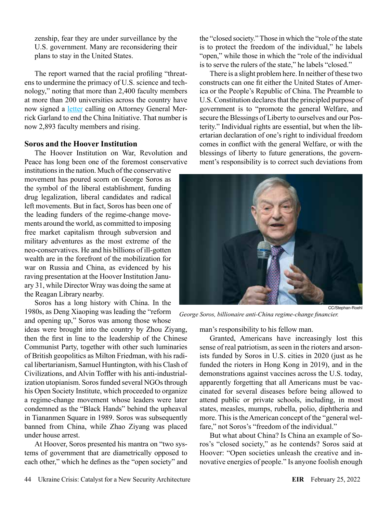zenship, fear they are under surveillance by the U.S. government. Many are reconsidering their plans to stay in the United States.

The report warned that the racial profiling "threatens to undermine the primacy of U.S. science and technology," noting that more than 2,400 faculty members at more than 200 universities across the country have now signed a [letter](https://www.apajustice.org/uploads/1/1/5/7/115708039/letter2aggarland_20211124.pdf) calling on Attorney General Merrick Garland to end the China Initiative. That number is now 2,893 faculty members and rising.

#### **Soros and the Hoover Institution**

The Hoover Institution on War, Revolution and Peace has long been one of the foremost conservative

institutions in the nation. Much of the conservative movement has poured scorn on George Soros as the symbol of the liberal establishment, funding drug legalization, liberal candidates and radical left movements. But in fact, Soros has been one of the leading funders of the regime-change movements around the world, as committed to imposing free market capitalism through subversion and military adventures as the most extreme of the neo-conservatives. He and his billions of ill-gotten wealth are in the forefront of the mobilization for war on Russia and China, as evidenced by his raving presentation at the Hoover Institution January 31, while Director Wray was doing the same at the Reagan Library nearby.

Soros has a long history with China. In the 1980s, as Deng Xiaoping was leading the "reform and opening up," Soros was among those whose

ideas were brought into the country by Zhou Ziyang, then the first in line to the leadership of the Chinese Communist Party, together with other such luminaries of British geopolitics as Milton Friedman, with his radical libertarianism, Samuel Huntington, with his Clash of Civilizations, and Alvin Toffler with his anti-industrialization utopianism. Soros funded several NGOs through his Open Society Institute, which proceeded to organize a regime-change movement whose leaders were later condemned as the "Black Hands" behind the upheaval in Tiananmen Square in 1989. Soros was subsequently banned from China, while Zhao Ziyang was placed under house arrest.

At Hoover, Soros presented his mantra on "two systems of government that are diametrically opposed to each other," which he defines as the "open society" and

the "closed society." Those in which the "role of the state is to protect the freedom of the individual," he labels "open," while those in which the "role of the individual is to serve the rulers of the state," he labels "closed."

There is a slight problem here. In neither of these two constructs can one fit either the United States of America or the People's Republic of China. The Preamble to U.S. Constitution declares that the principled purpose of government is to "promote the general Welfare, and secure the Blessings of Liberty to ourselves and our Posterity." Individual rights are essential, but when the libertarian declaration of one's right to individual freedom comes in conflict with the general Welfare, or with the blessings of liberty to future generations, the government's responsibility is to correct such deviations from



*George Soros, billionaire anti-China regime-change financier.*

man's responsibility to his fellow man.

Granted, Americans have increasingly lost this sense of real patriotism, as seen in the rioters and arsonists funded by Soros in U.S. cities in 2020 (just as he funded the rioters in Hong Kong in 2019), and in the demonstrations against vaccines across the U.S. today, apparently forgetting that all Americans must be vaccinated for several diseases before being allowed to attend public or private schools, including, in most states, measles, mumps, rubella, polio, diphtheria and more. This is the American concept of the "general welfare," not Soros's "freedom of the individual."

But what about China? Is China an example of Soros's "closed society," as he contends? Soros said at Hoover: "Open societies unleash the creative and innovative energies of people." Is anyone foolish enough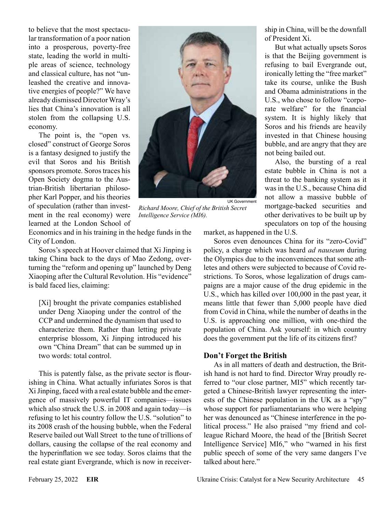to believe that the most spectacular transformation of a poor nation into a prosperous, poverty-free state, leading the world in multiple areas of science, technology and classical culture, has not "unleashed the creative and innovative energies of people?" We have already dismissed Director Wray's lies that China's innovation is all stolen from the collapsing U.S. economy.

The point is, the "open vs. closed" construct of George Soros is a fantasy designed to justify the evil that Soros and his British sponsors promote. Soros traces his Open Society dogma to the Austrian-British libertarian philosopher Karl Popper, and his theories of speculation (rather than investment in the real economy) were learned at the London School of



*Richard Moore, Chief of the British Secret Intelligence Service (MI6).*

Economics and in his training in the hedge funds in the City of London.

Soros's speech at Hoover claimed that Xi Jinping is taking China back to the days of Mao Zedong, overturning the "reform and opening up" launched by Deng Xiaoping after the Cultural Revolution. His "evidence" is bald faced lies, claiming:

[Xi] brought the private companies established under Deng Xiaoping under the control of the CCP and undermined the dynamism that used to characterize them. Rather than letting private enterprise blossom, Xi Jinping introduced his own "China Dream" that can be summed up in two words: total control.

This is patently false, as the private sector is flourishing in China. What actually infuriates Soros is that Xi Jinping, faced with a real estate bubble and the emergence of massively powerful IT companies—issues which also struck the U.S. in 2008 and again today—is refusing to let his country follow the U.S. "solution" to its 2008 crash of the housing bubble, when the Federal Reserve bailed out Wall Street to the tune of trillions of dollars, causing the collapse of the real economy and the hyperinflation we see today. Soros claims that the real estate giant Evergrande, which is now in receivership in China, will be the downfall of President Xi.

But what actually upsets Soros is that the Beijing government is refusing to bail Evergrande out, ironically letting the "free market" take its course, unlike the Bush and Obama administrations in the U.S., who chose to follow "corporate welfare" for the financial system. It is highly likely that Soros and his friends are heavily invested in that Chinese housing bubble, and are angry that they are not being bailed out.

Also, the bursting of a real estate bubble in China is not a threat to the banking system as it was in the U.S., because China did not allow a massive bubble of mortgage-backed securities and other derivatives to be built up by speculators on top of the housing

market, as happened in the U.S.

Soros even denounces China for its "zero-Covid" policy, a charge which was heard *ad nauseum* during the Olympics due to the inconveniences that some athletes and others were subjected to because of Covid restrictions. To Soros, whose legalization of drugs campaigns are a major cause of the drug epidemic in the U.S., which has killed over 100,000 in the past year, it means little that fewer than 5,000 people have died from Covid in China, while the number of deaths in the U.S. is approaching one million, with one-third the population of China. Ask yourself: in which country does the government put the life of its citizens first?

#### **Don't Forget the British**

As in all matters of death and destruction, the British hand is not hard to find. Director Wray proudly referred to "our close partner, MI5" which recently targeted a Chinese-British lawyer representing the interests of the Chinese population in the UK as a "spy" whose support for parliamentarians who were helping her was denounced as "Chinese interference in the political process." He also praised "my friend and colleague Richard Moore, the head of the [British Secret Intelligence Service] MI6," who "warned in his first public speech of some of the very same dangers I've talked about here."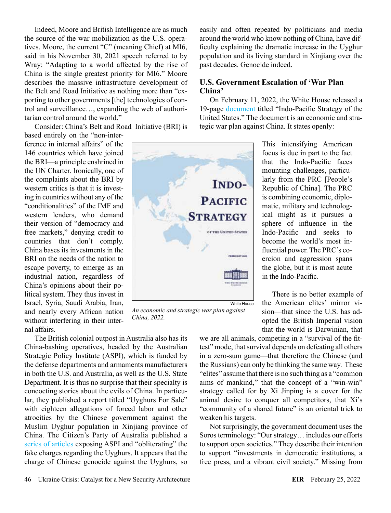Indeed, Moore and British Intelligence are as much the source of the war mobilization as the U.S. operatives. Moore, the current "C" (meaning Chief) at MI6, said in his November 30, 2021 speech referred to by Wray: "Adapting to a world affected by the rise of China is the single greatest priority for MI6." Moore describes the massive infrastructure development of the Belt and Road Initiative as nothing more than "exporting to other governments [the] technologies of control and surveillance…, expanding the web of authoritarian control around the world."

Consider: China's Belt and Road Initiative (BRI) is

based entirely on the "non-interference in internal affairs" of the 146 countries which have joined the BRI—a principle enshrined in the UN Charter. Ironically, one of the complaints about the BRI by western critics is that it is investing in countries without any of the "conditionalities" of the IMF and western lenders, who demand their version of "democracy and free markets," denying credit to countries that don't comply. China bases its investments in the BRI on the needs of the nation to escape poverty, to emerge as an industrial nation, regardless of China's opinions about their political system. They thus invest in Israel, Syria, Saudi Arabia, Iran, and nearly every African nation without interfering in their internal affairs.

The British colonial outpost in Australia also has its China-bashing operatives, headed by the Australian Strategic Policy Institute (ASPI), which is funded by the defense departments and armaments manufacturers in both the U.S. and Australia, as well as the U.S. State Department. It is thus no surprise that their specialty is concocting stories about the evils of China. In particular, they published a report titled "Uyghurs For Sale" with eighteen allegations of forced labor and other atrocities by the Chinese government against the Muslim Uyghur population in Xinjiang province of China. The Citizen's Party of Australia published a [series of articles](https://citizensparty.org.au/search?keywords=ASPI) exposing ASPI and "obliterating" the fake charges regarding the Uyghurs. It appears that the charge of Chinese genocide against the Uyghurs, so

easily and often repeated by politicians and media around the world who know nothing of China, have difficulty explaining the dramatic increase in the Uyghur population and its living standard in Xinjiang over the past decades. Genocide indeed.

#### **U.S. Government Escalation of 'War Plan China'**

On February 11, 2022, the White House released a 19-page [document](https://www.whitehouse.gov/wp-content/uploads/2022/02/U.S.-Indo-Pacific-Strategy.pdf) titled "Indo-Pacific Strategy of the United States." The document is an economic and strategic war plan against China. It states openly:

> This intensifying American focus is due in part to the fact that the Indo-Pacific faces mounting challenges, particularly from the PRC [People's Republic of China]. The PRC is combining economic, diplomatic, military and technological might as it pursues a sphere of influence in the Indo-Pacific and seeks to become the world's most influential power. The PRC's coercion and aggression spans the globe, but it is most acute in the Indo-Pacific.

There is no better example of the American elites' mirror vision—that since the U.S. has adopted the British Imperial vision that the world is Darwinian, that

we are all animals, competing in a "survival of the fittest" mode, that survival depends on defeating all others in a zero-sum game—that therefore the Chinese (and the Russians) can only be thinking the same way. These "elites" assume that there is no such thing as a "common aims of mankind," that the concept of a "win-win" strategy called for by Xi Jinping is a cover for the animal desire to conquer all competitors, that Xi's "community of a shared future" is an oriental trick to weaken his targets.

Not surprisingly, the government document uses the Soros terminology: "Our strategy… includes our efforts to support open societies." They describe their intention to support "investments in democratic institutions, a free press, and a vibrant civil society." Missing from



**INDO-**

**PACIFIC**